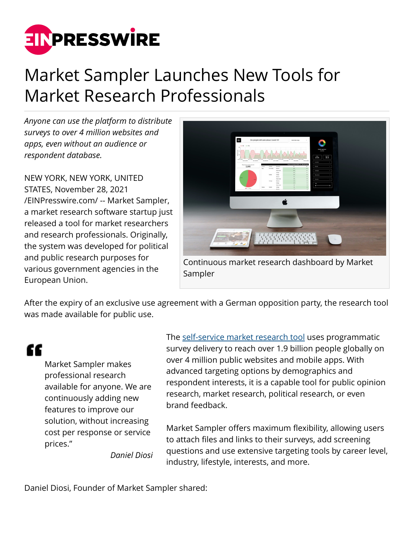

## Market Sampler Launches New Tools for Market Research Professionals

*Anyone can use the platform to distribute surveys to over 4 million websites and apps, even without an audience or respondent database.*

NEW YORK, NEW YORK, UNITED STATES, November 28, 2021 [/EINPresswire.com/](http://www.einpresswire.com) -- Market Sampler, a market research software startup just released a tool for market researchers and research professionals. Originally, the system was developed for political and public research purposes for various government agencies in the European Union.



After the expiry of an exclusive use agreement with a German opposition party, the research tool was made available for public use.

"

Market Sampler makes professional research available for anyone. We are continuously adding new features to improve our solution, without increasing cost per response or service prices."

The [self-service market research tool](https://marketsampler.com) uses programmatic survey delivery to reach over 1.9 billion people globally on over 4 million public websites and mobile apps. With advanced targeting options by demographics and respondent interests, it is a capable tool for public opinion research, market research, political research, or even brand feedback.

Market Sampler offers maximum flexibility, allowing users to attach files and links to their surveys, add screening questions and use extensive targeting tools by career level, industry, lifestyle, interests, and more.

*Daniel Diosi*

Daniel Diosi, Founder of Market Sampler shared: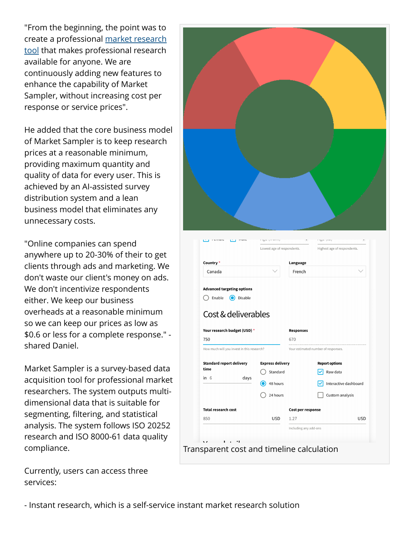"From the beginning, the point was to create a professional [market research](https://marketsampler.com) [tool](https://marketsampler.com) that makes professional research available for anyone. We are continuously adding new features to enhance the capability of Market Sampler, without increasing cost per response or service prices".

He added that the core business model of Market Sampler is to keep research prices at a reasonable minimum, providing maximum quantity and quality of data for every user. This is achieved by an AI-assisted survey distribution system and a lean business model that eliminates any unnecessary costs.

"Online companies can spend anywhere up to 20-30% of their to get clients through ads and marketing. We don't waste our client's money on ads. We don't incentivize respondents either. We keep our business overheads at a reasonable minimum so we can keep our prices as low as \$0.6 or less for a complete response." shared Daniel.

Market Sampler is a survey-based data acquisition tool for professional market researchers. The system outputs multidimensional data that is suitable for segmenting, filtering, and statistical analysis. The system follows ISO 20252 research and ISO 8000-61 data quality compliance.

Currently, users can access three services:



- Instant research, which is a self-service instant market research solution